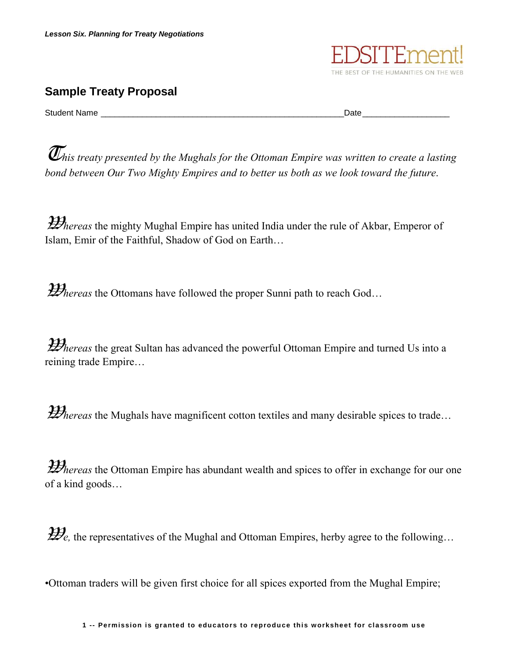

## **Sample Treaty Proposal**

Student Name \_\_\_\_\_\_\_\_\_\_\_\_\_\_\_\_\_\_\_\_\_\_\_\_\_\_\_\_\_\_\_\_\_\_\_\_\_\_\_\_\_\_\_\_\_\_\_\_\_\_\_\_\_Date\_\_\_\_\_\_\_\_\_\_\_\_\_\_\_\_\_\_\_

 $\bar{U}$ his treaty presented by the Mughals for the Ottoman Empire was written to create a lasting *bond between Our Two Mighty Empires and to better us both as we look toward the future.*

**Whereas** the mighty Mughal Empire has united India under the rule of Akbar, Emperor of Islam, Emir of the Faithful, Shadow of God on Earth…

*Whereas* the Ottomans have followed the proper Sunni path to reach God...

*Yhereas* the great Sultan has advanced the powerful Ottoman Empire and turned Us into a reining trade Empire…

*Whereas* the Mughals have magnificent cotton textiles and many desirable spices to trade...

*Whereas* the Ottoman Empire has abundant wealth and spices to offer in exchange for our one of a kind goods…

 $\mathcal{H}_e$ , the representatives of the Mughal and Ottoman Empires, herby agree to the following...

•Ottoman traders will be given first choice for all spices exported from the Mughal Empire;